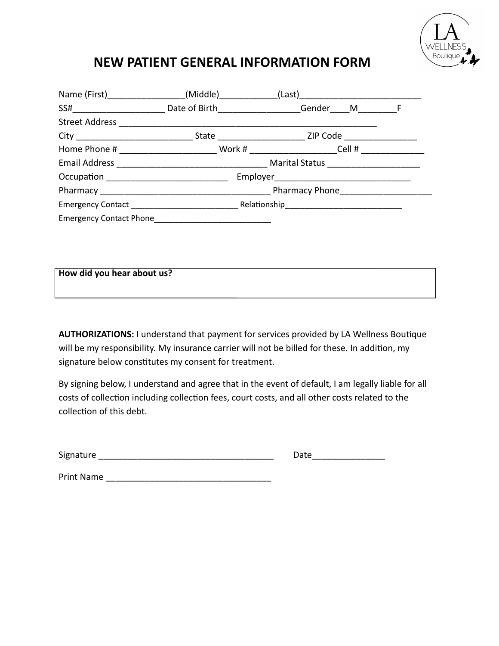

## **NEW PATIENT GENERAL INFORMATION FORM**

| SS#______________________________Date of Birth______________________Gender_____M________________F    |  |  |
|------------------------------------------------------------------------------------------------------|--|--|
|                                                                                                      |  |  |
|                                                                                                      |  |  |
| Home Phone # __________________________Work # _______________________Cell # ________________________ |  |  |
|                                                                                                      |  |  |
|                                                                                                      |  |  |
|                                                                                                      |  |  |
|                                                                                                      |  |  |
| <b>Emergency Contact Phone</b>                                                                       |  |  |

| How did you hear about us? |  |  |
|----------------------------|--|--|
|                            |  |  |
|                            |  |  |
|                            |  |  |
|                            |  |  |
|                            |  |  |

AUTHORIZATIONS: I understand that payment for services provided by LA Wellness Boutique will be my responsibility. My insurance carrier will not be billed for these. In addition, my signature below constitutes my consent for treatment.

By signing below, I understand and agree that in the event of default, I am legally liable for all costs of collection including collection fees, court costs, and all other costs related to the collection of this debt.

| Signature | iate |
|-----------|------|
|           |      |

Print Name \_\_\_\_\_\_\_\_\_\_\_\_\_\_\_\_\_\_\_\_\_\_\_\_\_\_\_\_\_\_\_\_\_\_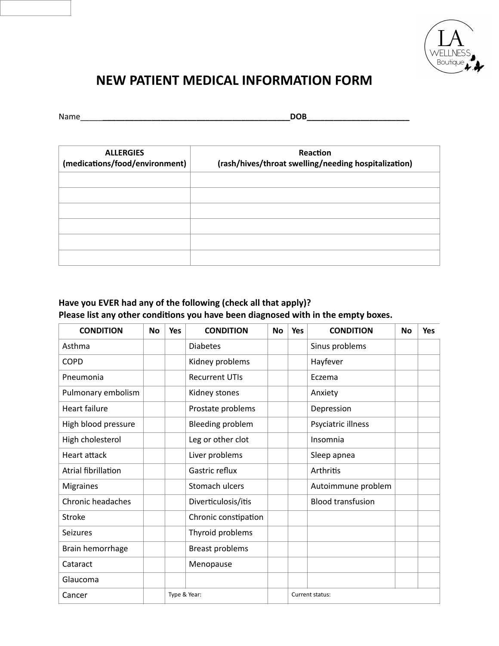

# **NEW PATIENT MEDICAL INFORMATION FORM**

| Name | $- - -$<br>. .<br>-<br>- |
|------|--------------------------|
|      |                          |

| <b>ALLERGIES</b><br>(medications/food/environment) | Reaction<br>(rash/hives/throat swelling/needing hospitalization) |
|----------------------------------------------------|------------------------------------------------------------------|
|                                                    |                                                                  |
|                                                    |                                                                  |
|                                                    |                                                                  |
|                                                    |                                                                  |
|                                                    |                                                                  |
|                                                    |                                                                  |

## **Have you EVER had any of the following (check all that apply)?**  Please list any other conditions you have been diagnosed with in the empty boxes.

| <b>CONDITION</b>         | No | <b>Yes</b>   | <b>CONDITION</b>       | No | <b>Yes</b> | <b>CONDITION</b>         | <b>No</b> | <b>Yes</b> |
|--------------------------|----|--------------|------------------------|----|------------|--------------------------|-----------|------------|
| Asthma                   |    |              | <b>Diabetes</b>        |    |            | Sinus problems           |           |            |
| <b>COPD</b>              |    |              | Kidney problems        |    |            | Hayfever                 |           |            |
| Pneumonia                |    |              | <b>Recurrent UTIs</b>  |    |            | Eczema                   |           |            |
| Pulmonary embolism       |    |              | Kidney stones          |    |            | Anxiety                  |           |            |
| <b>Heart failure</b>     |    |              | Prostate problems      |    |            | Depression               |           |            |
| High blood pressure      |    |              | Bleeding problem       |    |            | Psyciatric illness       |           |            |
| High cholesterol         |    |              | Leg or other clot      |    |            | Insomnia                 |           |            |
| <b>Heart attack</b>      |    |              | Liver problems         |    |            | Sleep apnea              |           |            |
| Atrial fibrillation      |    |              | Gastric reflux         |    |            | Arthritis                |           |            |
| <b>Migraines</b>         |    |              | Stomach ulcers         |    |            | Autoimmune problem       |           |            |
| <b>Chronic headaches</b> |    |              | Diverticulosis/itis    |    |            | <b>Blood transfusion</b> |           |            |
| <b>Stroke</b>            |    |              | Chronic constipation   |    |            |                          |           |            |
| <b>Seizures</b>          |    |              | Thyroid problems       |    |            |                          |           |            |
| Brain hemorrhage         |    |              | <b>Breast problems</b> |    |            |                          |           |            |
| Cataract                 |    |              | Menopause              |    |            |                          |           |            |
| Glaucoma                 |    |              |                        |    |            |                          |           |            |
| Cancer                   |    | Type & Year: |                        |    |            | Current status:          |           |            |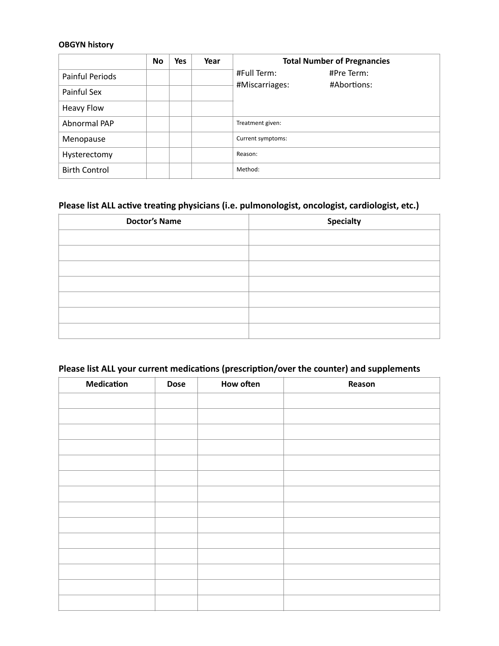## **OBGYN history**

|                      | <b>No</b> | <b>Yes</b> | Year | <b>Total Number of Pregnancies</b>                         |
|----------------------|-----------|------------|------|------------------------------------------------------------|
| Painful Periods      |           |            |      | #Full Term:<br>#Pre Term:<br>#Miscarriages:<br>#Abortions: |
| Painful Sex          |           |            |      |                                                            |
| <b>Heavy Flow</b>    |           |            |      |                                                            |
| Abnormal PAP         |           |            |      | Treatment given:                                           |
| Menopause            |           |            |      | Current symptoms:                                          |
| Hysterectomy         |           |            |      | Reason:                                                    |
| <b>Birth Control</b> |           |            |      | Method:                                                    |

### Please list ALL active treating physicians (i.e. pulmonologist, oncologist, cardiologist, etc.)

| <b>Doctor's Name</b> | <b>Specialty</b> |
|----------------------|------------------|
|                      |                  |
|                      |                  |
|                      |                  |
|                      |                  |
|                      |                  |
|                      |                  |
|                      |                  |

## Please list ALL your current medications (prescription/over the counter) and supplements

| <b>Medication</b> | <b>Dose</b> | <b>How often</b> | Reason |
|-------------------|-------------|------------------|--------|
|                   |             |                  |        |
|                   |             |                  |        |
|                   |             |                  |        |
|                   |             |                  |        |
|                   |             |                  |        |
|                   |             |                  |        |
|                   |             |                  |        |
|                   |             |                  |        |
|                   |             |                  |        |
|                   |             |                  |        |
|                   |             |                  |        |
|                   |             |                  |        |
|                   |             |                  |        |
|                   |             |                  |        |
|                   |             |                  |        |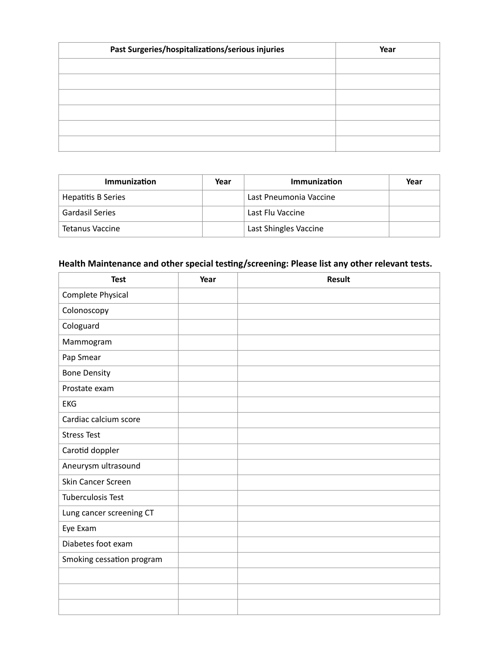| Past Surgeries/hospitalizations/serious injuries | Year |
|--------------------------------------------------|------|
|                                                  |      |
|                                                  |      |
|                                                  |      |
|                                                  |      |
|                                                  |      |
|                                                  |      |

| <b>Immunization</b>    | Year | Immunization           | Year |
|------------------------|------|------------------------|------|
| Hepatitis B Series     |      | Last Pneumonia Vaccine |      |
| <b>Gardasil Series</b> |      | Last Flu Vaccine       |      |
| Tetanus Vaccine        |      | Last Shingles Vaccine  |      |

#### Health Maintenance and other special testing/screening: Please list any other relevant tests.

| <b>Test</b>               | Year | Result |
|---------------------------|------|--------|
| Complete Physical         |      |        |
| Colonoscopy               |      |        |
| Cologuard                 |      |        |
| Mammogram                 |      |        |
| Pap Smear                 |      |        |
| <b>Bone Density</b>       |      |        |
| Prostate exam             |      |        |
| <b>EKG</b>                |      |        |
| Cardiac calcium score     |      |        |
| <b>Stress Test</b>        |      |        |
| Carotid doppler           |      |        |
| Aneurysm ultrasound       |      |        |
| Skin Cancer Screen        |      |        |
| <b>Tuberculosis Test</b>  |      |        |
| Lung cancer screening CT  |      |        |
| Eye Exam                  |      |        |
| Diabetes foot exam        |      |        |
| Smoking cessation program |      |        |
|                           |      |        |
|                           |      |        |
|                           |      |        |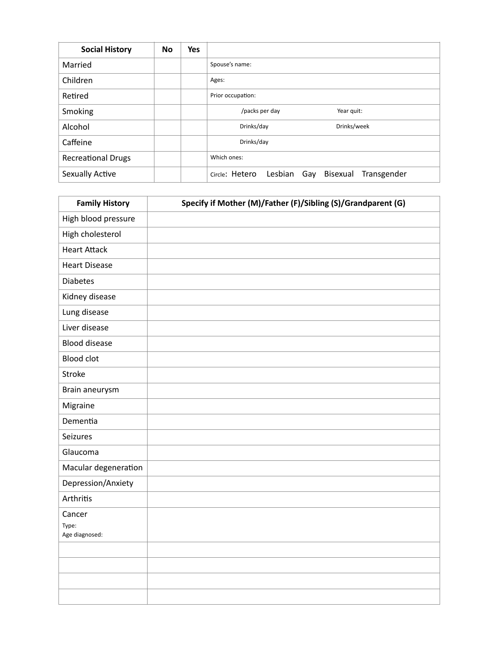| <b>Social History</b>     | <b>No</b> | <b>Yes</b> |                                                             |
|---------------------------|-----------|------------|-------------------------------------------------------------|
| Married                   |           |            | Spouse's name:                                              |
| Children                  |           |            | Ages:                                                       |
| Retired                   |           |            | Prior occupation:                                           |
| Smoking                   |           |            | /packs per day<br>Year quit:                                |
| Alcohol                   |           |            | Drinks/day<br>Drinks/week                                   |
| Caffeine                  |           |            | Drinks/day                                                  |
| <b>Recreational Drugs</b> |           |            | Which ones:                                                 |
| Sexually Active           |           |            | Circle: Hetero<br>Lesbian<br>Bisexual<br>Transgender<br>Gay |

| <b>Family History</b>   | Specify if Mother (M)/Father (F)/Sibling (S)/Grandparent (G) |
|-------------------------|--------------------------------------------------------------|
| High blood pressure     |                                                              |
| High cholesterol        |                                                              |
| <b>Heart Attack</b>     |                                                              |
| <b>Heart Disease</b>    |                                                              |
| <b>Diabetes</b>         |                                                              |
| Kidney disease          |                                                              |
| Lung disease            |                                                              |
| Liver disease           |                                                              |
| <b>Blood disease</b>    |                                                              |
| <b>Blood clot</b>       |                                                              |
| Stroke                  |                                                              |
| Brain aneurysm          |                                                              |
| Migraine                |                                                              |
| Dementia                |                                                              |
| Seizures                |                                                              |
| Glaucoma                |                                                              |
| Macular degeneration    |                                                              |
| Depression/Anxiety      |                                                              |
| Arthritis               |                                                              |
| Cancer                  |                                                              |
| Type:<br>Age diagnosed: |                                                              |
|                         |                                                              |
|                         |                                                              |
|                         |                                                              |
|                         |                                                              |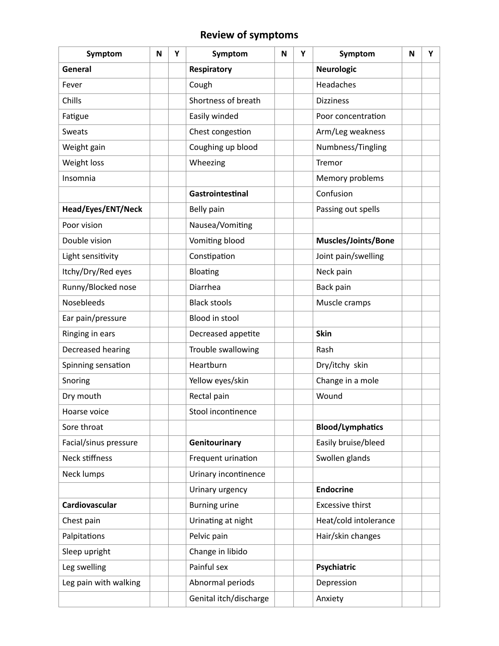## **Review of symptoms**

| Symptom               | N | Υ | Symptom                | N | Υ | Symptom                 | N | Y |
|-----------------------|---|---|------------------------|---|---|-------------------------|---|---|
| General               |   |   | Respiratory            |   |   | <b>Neurologic</b>       |   |   |
| Fever                 |   |   | Cough                  |   |   | Headaches               |   |   |
| Chills                |   |   | Shortness of breath    |   |   | <b>Dizziness</b>        |   |   |
| Fatigue               |   |   | Easily winded          |   |   | Poor concentration      |   |   |
| Sweats                |   |   | Chest congestion       |   |   | Arm/Leg weakness        |   |   |
| Weight gain           |   |   | Coughing up blood      |   |   | Numbness/Tingling       |   |   |
| Weight loss           |   |   | Wheezing               |   |   | Tremor                  |   |   |
| Insomnia              |   |   |                        |   |   | Memory problems         |   |   |
|                       |   |   | Gastrointestinal       |   |   | Confusion               |   |   |
| Head/Eyes/ENT/Neck    |   |   | Belly pain             |   |   | Passing out spells      |   |   |
| Poor vision           |   |   | Nausea/Vomiting        |   |   |                         |   |   |
| Double vision         |   |   | Vomiting blood         |   |   | Muscles/Joints/Bone     |   |   |
| Light sensitivity     |   |   | Constipation           |   |   | Joint pain/swelling     |   |   |
| Itchy/Dry/Red eyes    |   |   | Bloating               |   |   | Neck pain               |   |   |
| Runny/Blocked nose    |   |   | Diarrhea               |   |   | Back pain               |   |   |
| Nosebleeds            |   |   | <b>Black stools</b>    |   |   | Muscle cramps           |   |   |
| Ear pain/pressure     |   |   | Blood in stool         |   |   |                         |   |   |
| Ringing in ears       |   |   | Decreased appetite     |   |   | <b>Skin</b>             |   |   |
| Decreased hearing     |   |   | Trouble swallowing     |   |   | Rash                    |   |   |
| Spinning sensation    |   |   | Heartburn              |   |   | Dry/itchy skin          |   |   |
| Snoring               |   |   | Yellow eyes/skin       |   |   | Change in a mole        |   |   |
| Dry mouth             |   |   | Rectal pain            |   |   | Wound                   |   |   |
| Hoarse voice          |   |   | Stool incontinence     |   |   |                         |   |   |
| Sore throat           |   |   |                        |   |   | <b>Blood/Lymphatics</b> |   |   |
| Facial/sinus pressure |   |   | Genitourinary          |   |   | Easily bruise/bleed     |   |   |
| Neck stiffness        |   |   | Frequent urination     |   |   | Swollen glands          |   |   |
| Neck lumps            |   |   | Urinary incontinence   |   |   |                         |   |   |
|                       |   |   | Urinary urgency        |   |   | <b>Endocrine</b>        |   |   |
| Cardiovascular        |   |   | <b>Burning urine</b>   |   |   | <b>Excessive thirst</b> |   |   |
| Chest pain            |   |   | Urinating at night     |   |   | Heat/cold intolerance   |   |   |
| Palpitations          |   |   | Pelvic pain            |   |   | Hair/skin changes       |   |   |
| Sleep upright         |   |   | Change in libido       |   |   |                         |   |   |
| Leg swelling          |   |   | Painful sex            |   |   | Psychiatric             |   |   |
| Leg pain with walking |   |   | Abnormal periods       |   |   | Depression              |   |   |
|                       |   |   | Genital itch/discharge |   |   | Anxiety                 |   |   |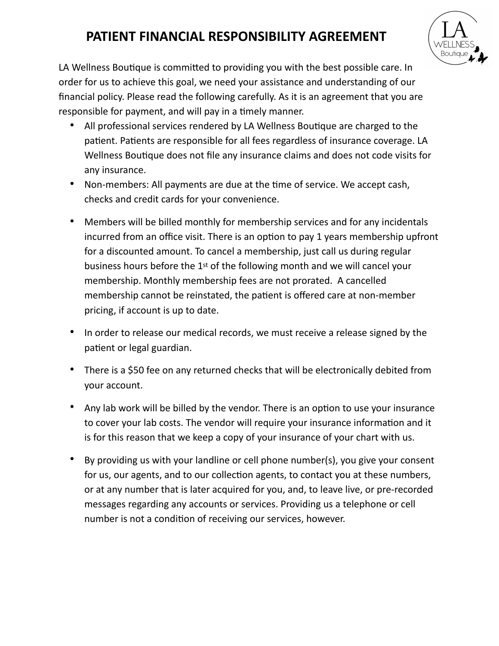# **PATIENT FINANCIAL RESPONSIBILITY AGREEMENT**



LA Wellness Boutique is committed to providing you with the best possible care. In order for us to achieve this goal, we need your assistance and understanding of our financial policy. Please read the following carefully. As it is an agreement that you are responsible for payment, and will pay in a timely manner.

- All professional services rendered by LA Wellness Boutique are charged to the patient. Patients are responsible for all fees regardless of insurance coverage. LA Wellness Boutique does not file any insurance claims and does not code visits for any insurance.
- Non-members: All payments are due at the time of service. We accept cash, checks and credit cards for your convenience.
- Members will be billed monthly for membership services and for any incidentals incurred from an office visit. There is an option to pay 1 years membership upfront for a discounted amount. To cancel a membership, just call us during regular business hours before the 1st of the following month and we will cancel your membership. Monthly membership fees are not prorated. A cancelled membership cannot be reinstated, the patient is offered care at non-member pricing, if account is up to date.
- In order to release our medical records, we must receive a release signed by the patient or legal guardian.
- There is a \$50 fee on any returned checks that will be electronically debited from your account.
- Any lab work will be billed by the vendor. There is an option to use your insurance to cover your lab costs. The vendor will require your insurance information and it is for this reason that we keep a copy of your insurance of your chart with us.
- By providing us with your landline or cell phone number(s), you give your consent for us, our agents, and to our collection agents, to contact you at these numbers, or at any number that is later acquired for you, and, to leave live, or pre-recorded messages regarding any accounts or services. Providing us a telephone or cell number is not a condition of receiving our services, however.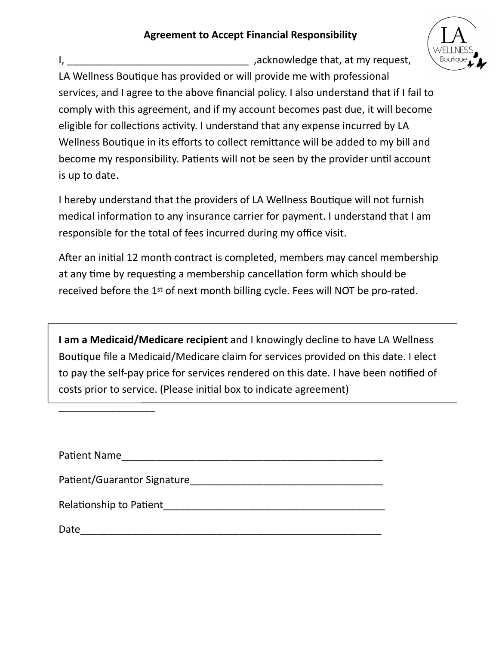## **Agreement to Accept Financial Responsibility**



I, Letteral and the set of the set of the set of the set of the set of the set of the set of the set of the set of the set of the set of the set of the set of the set of the set of the set of the set of the set of the set LA Wellness Boutique has provided or will provide me with professional services, and I agree to the above financial policy. I also understand that if I fail to comply with this agreement, and if my account becomes past due, it will become eligible for collections activity. I understand that any expense incurred by LA Wellness Boutique in its efforts to collect remittance will be added to my bill and become my responsibility. Patients will not be seen by the provider until account is up to date.

I hereby understand that the providers of LA Wellness Boutique will not furnish medical information to any insurance carrier for payment. I understand that I am responsible for the total of fees incurred during my office visit.

After an initial 12 month contract is completed, members may cancel membership at any time by requesting a membership cancellation form which should be received before the 1st of next month billing cycle. Fees will NOT be pro-rated.

**I am a Medicaid/Medicare recipient** and I knowingly decline to have LA Wellness Boutique file a Medicaid/Medicare claim for services provided on this date. I elect to pay the self-pay price for services rendered on this date. I have been notified of costs prior to service. (Please initial box to indicate agreement)

| Patient Name                |
|-----------------------------|
| Patient/Guarantor Signature |
| Relationship to Patient     |
| Date                        |

\_\_\_\_\_\_\_\_\_\_\_\_\_\_\_\_\_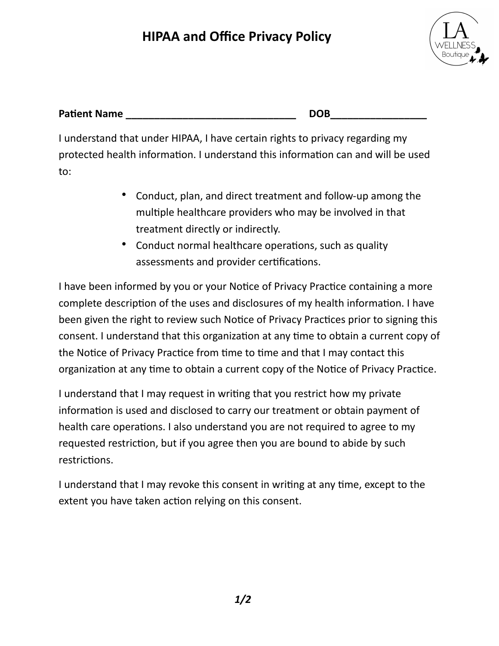# **HIPAA and Office Privacy Policy**



| <b>Patient Name</b> | DOR |
|---------------------|-----|
|---------------------|-----|

I understand that under HIPAA, I have certain rights to privacy regarding my protected health information. I understand this information can and will be used to:

- Conduct, plan, and direct treatment and follow-up among the multiple healthcare providers who may be involved in that treatment directly or indirectly.
- Conduct normal healthcare operations, such as quality assessments and provider certifications.

I have been informed by you or your Notice of Privacy Practice containing a more complete description of the uses and disclosures of my health information. I have been given the right to review such Notice of Privacy Practices prior to signing this consent. I understand that this organization at any time to obtain a current copy of the Notice of Privacy Practice from time to time and that I may contact this organization at any time to obtain a current copy of the Notice of Privacy Practice.

I understand that I may request in writing that you restrict how my private information is used and disclosed to carry our treatment or obtain payment of health care operations. I also understand you are not required to agree to my requested restriction, but if you agree then you are bound to abide by such restrictions.

I understand that I may revoke this consent in writing at any time, except to the extent you have taken action relying on this consent.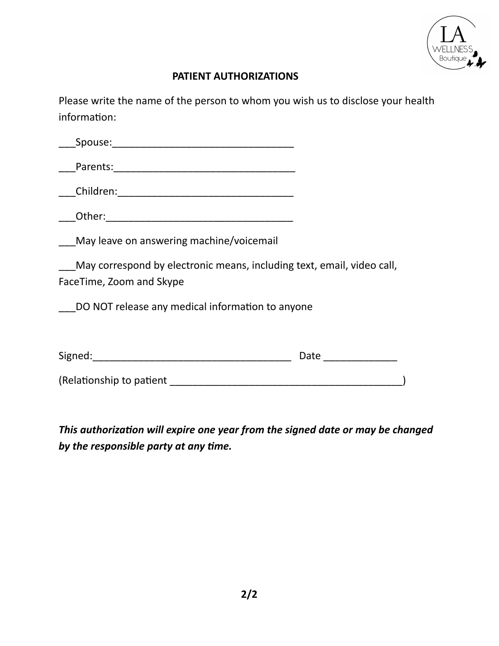

## **PATIENT AUTHORIZATIONS**

Please write the name of the person to whom you wish us to disclose your health information:

| May leave on answering machine/voicemail                                                           |                                                                 |
|----------------------------------------------------------------------------------------------------|-----------------------------------------------------------------|
| May correspond by electronic means, including text, email, video call,<br>FaceTime, Zoom and Skype |                                                                 |
| DO NOT release any medical information to anyone                                                   |                                                                 |
|                                                                                                    |                                                                 |
|                                                                                                    | Date<br><u> 1990 - Jan Barbara III, prima politik politik (</u> |
| (Relationship to patient                                                                           |                                                                 |

This authorization will expire one year from the signed date or may be changed by the responsible party at any time.